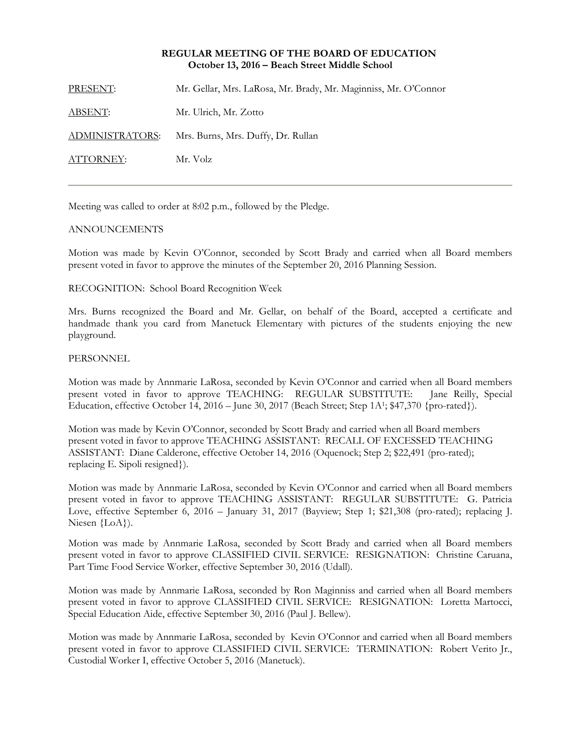### **REGULAR MEETING OF THE BOARD OF EDUCATION October 13, 2016 – Beach Street Middle School**

PRESENT: Mr. Gellar, Mrs. LaRosa, Mr. Brady, Mr. Maginniss, Mr. O'Connor

ABSENT: Mr. Ulrich, Mr. Zotto

ADMINISTRATORS: Mrs. Burns, Mrs. Duffy, Dr. Rullan

ATTORNEY: Mr. Volz

Meeting was called to order at 8:02 p.m., followed by the Pledge.

### ANNOUNCEMENTS

Motion was made by Kevin O'Connor, seconded by Scott Brady and carried when all Board members present voted in favor to approve the minutes of the September 20, 2016 Planning Session.

RECOGNITION: School Board Recognition Week

Mrs. Burns recognized the Board and Mr. Gellar, on behalf of the Board, accepted a certificate and handmade thank you card from Manetuck Elementary with pictures of the students enjoying the new playground.

### **PERSONNEL**

Motion was made by Annmarie LaRosa, seconded by Kevin O'Connor and carried when all Board members present voted in favor to approve TEACHING: REGULAR SUBSTITUTE: Jane Reilly, Special Education, effective October 14, 2016 – June 30, 2017 (Beach Street; Step 1A<sup>1</sup>; \$47,370 {pro-rated}).

Motion was made by Kevin O'Connor, seconded by Scott Brady and carried when all Board members present voted in favor to approve TEACHING ASSISTANT: RECALL OF EXCESSED TEACHING ASSISTANT: Diane Calderone, effective October 14, 2016 (Oquenock; Step 2; \$22,491 (pro-rated); replacing E. Sipoli resigned}).

Motion was made by Annmarie LaRosa, seconded by Kevin O'Connor and carried when all Board members present voted in favor to approve TEACHING ASSISTANT: REGULAR SUBSTITUTE: G. Patricia Love, effective September 6, 2016 – January 31, 2017 (Bayview; Step 1; \$21,308 (pro-rated); replacing J. Niesen {LoA}).

Motion was made by Annmarie LaRosa, seconded by Scott Brady and carried when all Board members present voted in favor to approve CLASSIFIED CIVIL SERVICE: RESIGNATION: Christine Caruana, Part Time Food Service Worker, effective September 30, 2016 (Udall).

Motion was made by Annmarie LaRosa, seconded by Ron Maginniss and carried when all Board members present voted in favor to approve CLASSIFIED CIVIL SERVICE: RESIGNATION: Loretta Martocci, Special Education Aide, effective September 30, 2016 (Paul J. Bellew).

Motion was made by Annmarie LaRosa, seconded by Kevin O'Connor and carried when all Board members present voted in favor to approve CLASSIFIED CIVIL SERVICE: TERMINATION: Robert Verito Jr., Custodial Worker I, effective October 5, 2016 (Manetuck).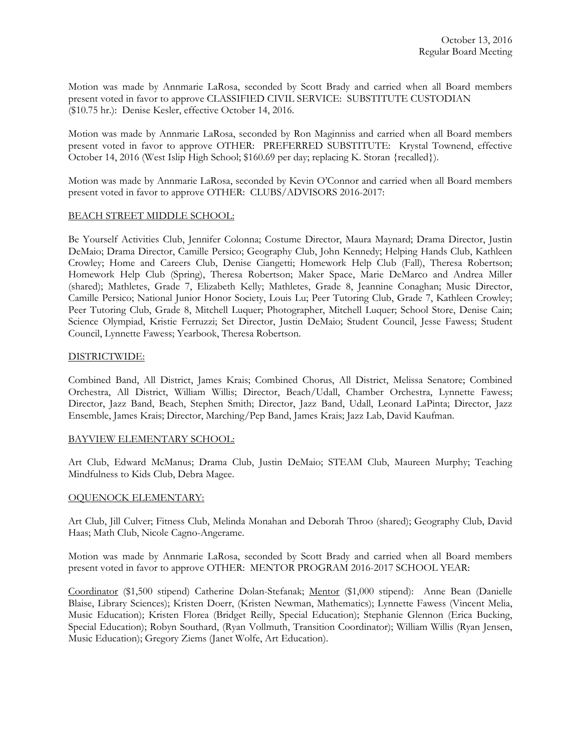Motion was made by Annmarie LaRosa, seconded by Scott Brady and carried when all Board members present voted in favor to approve CLASSIFIED CIVIL SERVICE: SUBSTITUTE CUSTODIAN (\$10.75 hr.): Denise Kesler, effective October 14, 2016.

Motion was made by Annmarie LaRosa, seconded by Ron Maginniss and carried when all Board members present voted in favor to approve OTHER: PREFERRED SUBSTITUTE: Krystal Townend, effective October 14, 2016 (West Islip High School; \$160.69 per day; replacing K. Storan {recalled}).

Motion was made by Annmarie LaRosa, seconded by Kevin O'Connor and carried when all Board members present voted in favor to approve OTHER: CLUBS/ADVISORS 2016-2017:

# BEACH STREET MIDDLE SCHOOL:

Be Yourself Activities Club, Jennifer Colonna; Costume Director, Maura Maynard; Drama Director, Justin DeMaio; Drama Director, Camille Persico; Geography Club, John Kennedy; Helping Hands Club, Kathleen Crowley; Home and Careers Club, Denise Ciangetti; Homework Help Club (Fall), Theresa Robertson; Homework Help Club (Spring), Theresa Robertson; Maker Space, Marie DeMarco and Andrea Miller (shared); Mathletes, Grade 7, Elizabeth Kelly; Mathletes, Grade 8, Jeannine Conaghan; Music Director, Camille Persico; National Junior Honor Society, Louis Lu; Peer Tutoring Club, Grade 7, Kathleen Crowley; Peer Tutoring Club, Grade 8, Mitchell Luquer; Photographer, Mitchell Luquer; School Store, Denise Cain; Science Olympiad, Kristie Ferruzzi; Set Director, Justin DeMaio; Student Council, Jesse Fawess; Student Council, Lynnette Fawess; Yearbook, Theresa Robertson.

### DISTRICTWIDE:

Combined Band, All District, James Krais; Combined Chorus, All District, Melissa Senatore; Combined Orchestra, All District, William Willis; Director, Beach/Udall, Chamber Orchestra, Lynnette Fawess; Director, Jazz Band, Beach, Stephen Smith; Director, Jazz Band, Udall, Leonard LaPinta; Director, Jazz Ensemble, James Krais; Director, Marching/Pep Band, James Krais; Jazz Lab, David Kaufman.

### BAYVIEW ELEMENTARY SCHOOL:

Art Club, Edward McManus; Drama Club, Justin DeMaio; STEAM Club, Maureen Murphy; Teaching Mindfulness to Kids Club, Debra Magee.

### OQUENOCK ELEMENTARY:

Art Club, Jill Culver; Fitness Club, Melinda Monahan and Deborah Throo (shared); Geography Club, David Haas; Math Club, Nicole Cagno-Angerame.

Motion was made by Annmarie LaRosa, seconded by Scott Brady and carried when all Board members present voted in favor to approve OTHER: MENTOR PROGRAM 2016-2017 SCHOOL YEAR:

Coordinator (\$1,500 stipend) Catherine Dolan-Stefanak; Mentor (\$1,000 stipend): Anne Bean (Danielle Blaise, Library Sciences); Kristen Doerr, (Kristen Newman, Mathematics); Lynnette Fawess (Vincent Melia, Music Education); Kristen Florea (Bridget Reilly, Special Education); Stephanie Glennon (Erica Bucking, Special Education); Robyn Southard, (Ryan Vollmuth, Transition Coordinator); William Willis (Ryan Jensen, Music Education); Gregory Ziems (Janet Wolfe, Art Education).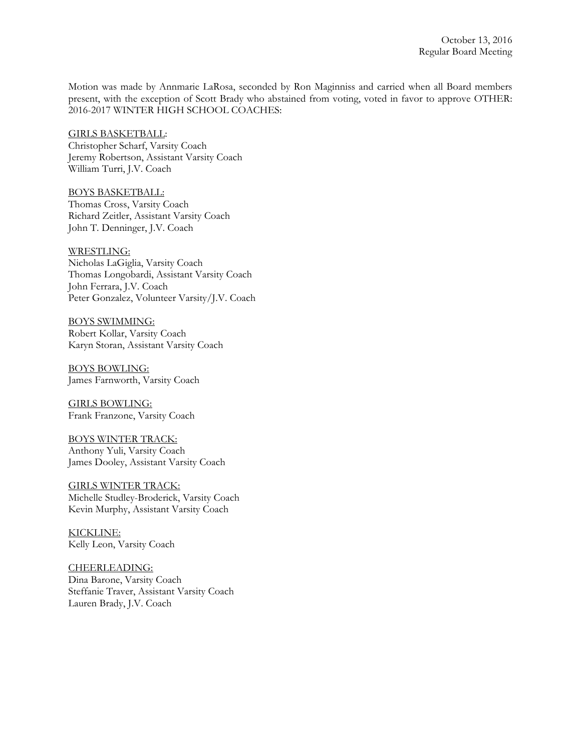Motion was made by Annmarie LaRosa, seconded by Ron Maginniss and carried when all Board members present, with the exception of Scott Brady who abstained from voting, voted in favor to approve OTHER: 2016-2017 WINTER HIGH SCHOOL COACHES:

GIRLS BASKETBALL: Christopher Scharf, Varsity Coach Jeremy Robertson, Assistant Varsity Coach William Turri, J.V. Coach

BOYS BASKETBALL: Thomas Cross, Varsity Coach Richard Zeitler, Assistant Varsity Coach John T. Denninger, J.V. Coach

WRESTLING: Nicholas LaGiglia, Varsity Coach Thomas Longobardi, Assistant Varsity Coach John Ferrara, J.V. Coach Peter Gonzalez, Volunteer Varsity/J.V. Coach

BOYS SWIMMING: Robert Kollar, Varsity Coach Karyn Storan, Assistant Varsity Coach

BOYS BOWLING: James Farnworth, Varsity Coach

GIRLS BOWLING: Frank Franzone, Varsity Coach

BOYS WINTER TRACK: Anthony Yuli, Varsity Coach James Dooley, Assistant Varsity Coach

GIRLS WINTER TRACK: Michelle Studley-Broderick, Varsity Coach Kevin Murphy, Assistant Varsity Coach

KICKLINE: Kelly Leon, Varsity Coach

CHEERLEADING: Dina Barone, Varsity Coach Steffanie Traver, Assistant Varsity Coach Lauren Brady, J.V. Coach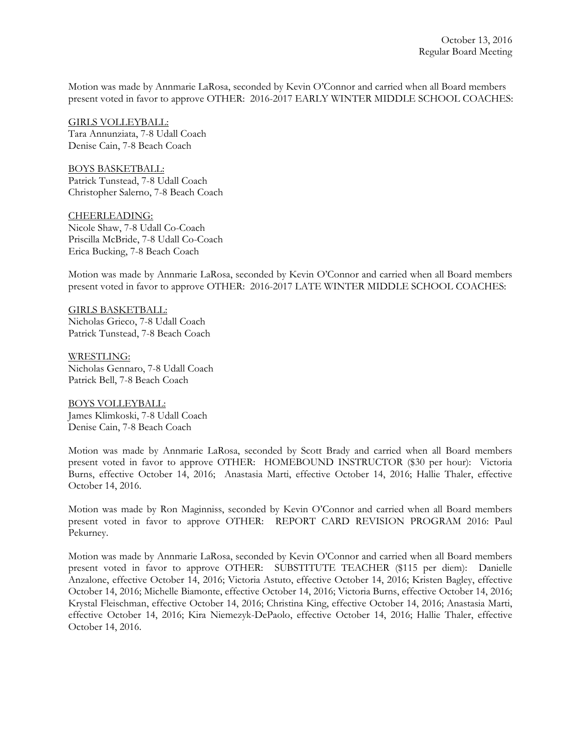Motion was made by Annmarie LaRosa, seconded by Kevin O'Connor and carried when all Board members present voted in favor to approve OTHER: 2016-2017 EARLY WINTER MIDDLE SCHOOL COACHES:

GIRLS VOLLEYBALL: Tara Annunziata, 7-8 Udall Coach Denise Cain, 7-8 Beach Coach

BOYS BASKETBALL: Patrick Tunstead, 7-8 Udall Coach Christopher Salerno, 7-8 Beach Coach

CHEERLEADING: Nicole Shaw, 7-8 Udall Co-Coach Priscilla McBride, 7-8 Udall Co-Coach Erica Bucking, 7-8 Beach Coach

Motion was made by Annmarie LaRosa, seconded by Kevin O'Connor and carried when all Board members present voted in favor to approve OTHER: 2016-2017 LATE WINTER MIDDLE SCHOOL COACHES:

GIRLS BASKETBALL: Nicholas Grieco, 7-8 Udall Coach Patrick Tunstead, 7-8 Beach Coach

WRESTLING: Nicholas Gennaro, 7-8 Udall Coach Patrick Bell, 7-8 Beach Coach

BOYS VOLLEYBALL: James Klimkoski, 7-8 Udall Coach Denise Cain, 7-8 Beach Coach

Motion was made by Annmarie LaRosa, seconded by Scott Brady and carried when all Board members present voted in favor to approve OTHER: HOMEBOUND INSTRUCTOR (\$30 per hour): Victoria Burns, effective October 14, 2016; Anastasia Marti, effective October 14, 2016; Hallie Thaler, effective October 14, 2016.

Motion was made by Ron Maginniss, seconded by Kevin O'Connor and carried when all Board members present voted in favor to approve OTHER: REPORT CARD REVISION PROGRAM 2016: Paul Pekurney.

Motion was made by Annmarie LaRosa, seconded by Kevin O'Connor and carried when all Board members present voted in favor to approve OTHER: SUBSTITUTE TEACHER (\$115 per diem): Danielle Anzalone, effective October 14, 2016; Victoria Astuto, effective October 14, 2016; Kristen Bagley, effective October 14, 2016; Michelle Biamonte, effective October 14, 2016; Victoria Burns, effective October 14, 2016; Krystal Fleischman, effective October 14, 2016; Christina King, effective October 14, 2016; Anastasia Marti, effective October 14, 2016; Kira Niemezyk-DePaolo, effective October 14, 2016; Hallie Thaler, effective October 14, 2016.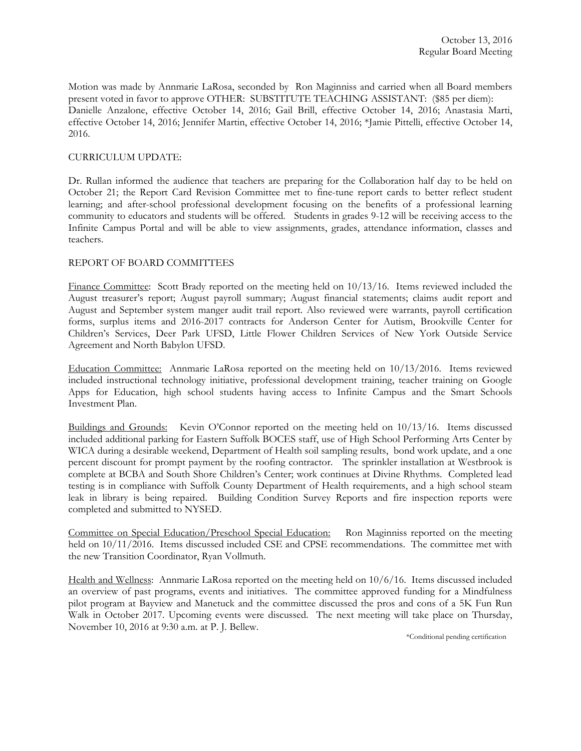Motion was made by Annmarie LaRosa, seconded by Ron Maginniss and carried when all Board members present voted in favor to approve OTHER: SUBSTITUTE TEACHING ASSISTANT: (\$85 per diem): Danielle Anzalone, effective October 14, 2016; Gail Brill, effective October 14, 2016; Anastasia Marti, effective October 14, 2016; Jennifer Martin, effective October 14, 2016; \*Jamie Pittelli, effective October 14, 2016.

# CURRICULUM UPDATE:

Dr. Rullan informed the audience that teachers are preparing for the Collaboration half day to be held on October 21; the Report Card Revision Committee met to fine-tune report cards to better reflect student learning; and after-school professional development focusing on the benefits of a professional learning community to educators and students will be offered. Students in grades 9-12 will be receiving access to the Infinite Campus Portal and will be able to view assignments, grades, attendance information, classes and teachers.

# REPORT OF BOARD COMMITTEES

Finance Committee: Scott Brady reported on the meeting held on 10/13/16. Items reviewed included the August treasurer's report; August payroll summary; August financial statements; claims audit report and August and September system manger audit trail report. Also reviewed were warrants, payroll certification forms, surplus items and 2016-2017 contracts for Anderson Center for Autism, Brookville Center for Children's Services, Deer Park UFSD, Little Flower Children Services of New York Outside Service Agreement and North Babylon UFSD.

Education Committee: Annmarie LaRosa reported on the meeting held on 10/13/2016. Items reviewed included instructional technology initiative, professional development training, teacher training on Google Apps for Education, high school students having access to Infinite Campus and the Smart Schools Investment Plan.

Buildings and Grounds: Kevin O'Connor reported on the meeting held on 10/13/16. Items discussed included additional parking for Eastern Suffolk BOCES staff, use of High School Performing Arts Center by WICA during a desirable weekend, Department of Health soil sampling results, bond work update, and a one percent discount for prompt payment by the roofing contractor. The sprinkler installation at Westbrook is complete at BCBA and South Shore Children's Center; work continues at Divine Rhythms. Completed lead testing is in compliance with Suffolk County Department of Health requirements, and a high school steam leak in library is being repaired. Building Condition Survey Reports and fire inspection reports were completed and submitted to NYSED.

Committee on Special Education/Preschool Special Education: Ron Maginniss reported on the meeting held on 10/11/2016. Items discussed included CSE and CPSE recommendations. The committee met with the new Transition Coordinator, Ryan Vollmuth.

Health and Wellness: Annmarie LaRosa reported on the meeting held on 10/6/16. Items discussed included an overview of past programs, events and initiatives. The committee approved funding for a Mindfulness pilot program at Bayview and Manetuck and the committee discussed the pros and cons of a 5K Fun Run Walk in October 2017. Upcoming events were discussed. The next meeting will take place on Thursday, November 10, 2016 at 9:30 a.m. at P. J. Bellew.

\*Conditional pending certification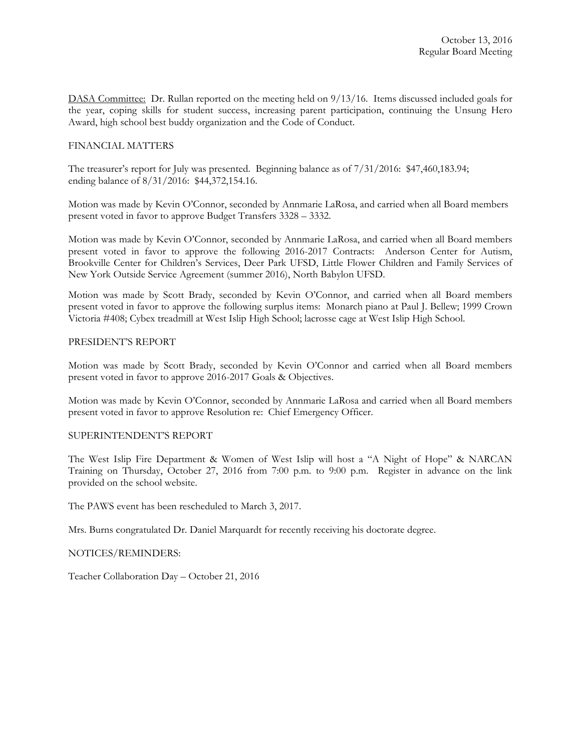DASA Committee: Dr. Rullan reported on the meeting held on 9/13/16. Items discussed included goals for the year, coping skills for student success, increasing parent participation, continuing the Unsung Hero Award, high school best buddy organization and the Code of Conduct.

### FINANCIAL MATTERS

The treasurer's report for July was presented. Beginning balance as of 7/31/2016: \$47,460,183.94; ending balance of 8/31/2016: \$44,372,154.16.

Motion was made by Kevin O'Connor, seconded by Annmarie LaRosa, and carried when all Board members present voted in favor to approve Budget Transfers 3328 – 3332.

Motion was made by Kevin O'Connor, seconded by Annmarie LaRosa, and carried when all Board members present voted in favor to approve the following 2016-2017 Contracts: Anderson Center for Autism, Brookville Center for Children's Services, Deer Park UFSD, Little Flower Children and Family Services of New York Outside Service Agreement (summer 2016), North Babylon UFSD.

Motion was made by Scott Brady, seconded by Kevin O'Connor, and carried when all Board members present voted in favor to approve the following surplus items: Monarch piano at Paul J. Bellew; 1999 Crown Victoria #408; Cybex treadmill at West Islip High School; lacrosse cage at West Islip High School.

### PRESIDENT'S REPORT

Motion was made by Scott Brady, seconded by Kevin O'Connor and carried when all Board members present voted in favor to approve 2016-2017 Goals & Objectives.

Motion was made by Kevin O'Connor, seconded by Annmarie LaRosa and carried when all Board members present voted in favor to approve Resolution re: Chief Emergency Officer.

### SUPERINTENDENT'S REPORT

The West Islip Fire Department & Women of West Islip will host a "A Night of Hope" & NARCAN Training on Thursday, October 27, 2016 from 7:00 p.m. to 9:00 p.m. Register in advance on the link provided on the school website.

The PAWS event has been rescheduled to March 3, 2017.

Mrs. Burns congratulated Dr. Daniel Marquardt for recently receiving his doctorate degree.

NOTICES/REMINDERS:

Teacher Collaboration Day – October 21, 2016